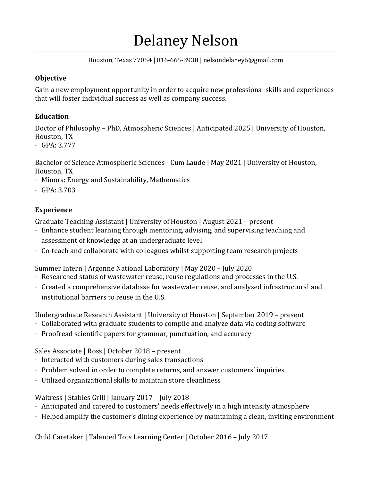# Delaney Nelson

Houston, Texas 77054 | 816-665-3930 | nelsondelaney6@gmail.com

#### **Objective**

Gain a new employment opportunity in order to acquire new professional skills and experiences that will foster individual success as well as company success.

### **Education**

Doctor of Philosophy – PhD, Atmospheric Sciences | Anticipated 2025 | University of Houston, Houston, TX

· GPA: 3.777

Bachelor of Science Atmospheric Sciences - Cum Laude | May 2021 | University of Houston, Houston, TX

- · Minors: Energy and Sustainability, Mathematics
- · GPA: 3.703

## **Experience**

Graduate Teaching Assistant | University of Houston | August 2021 – present

- · Enhance student learning through mentoring, advising, and supervising teaching and assessment of knowledge at an undergraduate level
- · Co-teach and collaborate with colleagues whilst supporting team research projects

Summer Intern | Argonne National Laboratory | May 2020 – July 2020

- · Researched status of wastewater reuse, reuse regulations and processes in the U.S.
- · Created a comprehensive database for wastewater reuse, and analyzed infrastructural and institutional barriers to reuse in the U.S.

Undergraduate Research Assistant | University of Houston | September 2019 – present

- · Collaborated with graduate students to compile and analyze data via coding software
- · Proofread scientific papers for grammar, punctuation, and accuracy

Sales Associate | Ross | October 2018 – present

- · Interacted with customers during sales transactions
- · Problem solved in order to complete returns, and answer customers' inquiries
- · Utilized organizational skills to maintain store cleanliness

Waitress | Stables Grill | January 2017 – July 2018

- · Anticipated and catered to customers' needs effectively in a high intensity atmosphere
- · Helped amplify the customer's dining experience by maintaining a clean, inviting environment

Child Caretaker | Talented Tots Learning Center | October 2016 – July 2017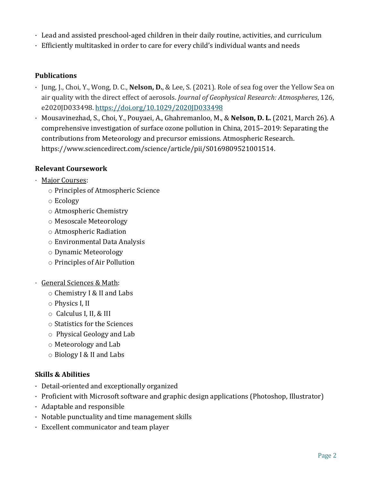- · Lead and assisted preschool-aged children in their daily routine, activities, and curriculum
- · Efficiently multitasked in order to care for every child's individual wants and needs

### **Publications**

- · Jung, J., Choi, Y., Wong, D. C., **Nelson, D.**, & Lee, S. (2021). Role of sea fog over the Yellow Sea on air quality with the direct effect of aerosols. *Journal of Geophysical Research: Atmospheres*, 126, e2020JD033498. <https://doi.org/10.1029/2020JD033498>
- · Mousavinezhad, S., Choi, Y., Pouyaei, A., Ghahremanloo, M., & **Nelson, D. L.** (2021, March 26). A comprehensive investigation of surface ozone pollution in China, 2015–2019: Separating the contributions from Meteorology and precursor emissions. Atmospheric Research. https://www.sciencedirect.com/science/article/pii/S0169809521001514.

### **Relevant Coursework**

- · Major Courses:
	- o Principles of Atmospheric Science
	- o Ecology
	- o Atmospheric Chemistry
	- o Mesoscale Meteorology
	- o Atmospheric Radiation
	- o Environmental Data Analysis
	- o Dynamic Meteorology
	- o Principles of Air Pollution
- · General Sciences & Math:
	- o Chemistry I & II and Labs
	- o Physics I, II
	- o Calculus I, II, & III
	- o Statistics for the Sciences
	- o Physical Geology and Lab
	- o Meteorology and Lab
	- o Biology I & II and Labs

### **Skills & Abilities**

- · Detail-oriented and exceptionally organized
- · Proficient with Microsoft software and graphic design applications (Photoshop, Illustrator)
- · Adaptable and responsible
- · Notable punctuality and time management skills
- · Excellent communicator and team player